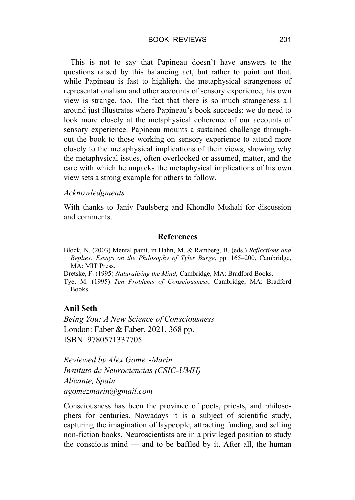#### BOOK REVIEWS 201

This is not to say that Papineau doesn't have answers to the questions raised by this balancing act, but rather to point out that, while Papineau is fast to highlight the metaphysical strangeness of representationalism and other accounts of sensory experience, his own view is strange, too. The fact that there is so much strangeness all around just illustrates where Papineau's book succeeds: we do need to look more closely at the metaphysical coherence of our accounts of sensory experience. Papineau mounts a sustained challenge throughout the book to those working on sensory experience to attend more closely to the metaphysical implications of their views, showing why the metaphysical issues, often overlooked or assumed, matter, and the care with which he unpacks the metaphysical implications of his own view sets a strong example for others to follow.

## *Acknowledgments*

With thanks to Janiv Paulsberg and Khondlo Mtshali for discussion and comments.

#### **References**

Block, N. (2003) Mental paint, in Hahn, M. & Ramberg, B. (eds.) *Reflections and Replies: Essays on the Philosophy of Tyler Burge*, pp. 165–200, Cambridge, MA: MIT Press.

Dretske, F. (1995) *Naturalising the Mind*, Cambridge, MA: Bradford Books.

Tye, M. (1995) *Ten Problems of Consciousness*, Cambridge, MA: Bradford Books.

### **Anil Seth**

*Being You: A New Science of Consciousness* London: Faber & Faber, 2021, 368 pp. ISBN: 9780571337705

*Reviewed by Alex Gomez-Marin Instituto de Neurociencias (CSIC-UMH) Alicante, Spain agomezmarin@gmail.com*

Consciousness has been the province of poets, priests, and philosophers for centuries. Nowadays it is a subject of scientific study, capturing the imagination of laypeople, attracting funding, and selling non-fiction books. Neuroscientists are in a privileged position to study the conscious mind — and to be baffled by it. After all, the human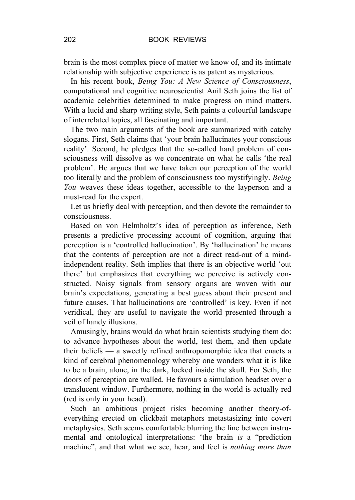brain is the most complex piece of matter we know of, and its intimate relationship with subjective experience is as patent as mysterious.

In his recent book, *Being You: A New Science of Consciousness*, computational and cognitive neuroscientist Anil Seth joins the list of academic celebrities determined to make progress on mind matters. With a lucid and sharp writing style, Seth paints a colourful landscape of interrelated topics, all fascinating and important.

The two main arguments of the book are summarized with catchy slogans. First, Seth claims that 'your brain hallucinates your conscious reality'. Second, he pledges that the so-called hard problem of consciousness will dissolve as we concentrate on what he calls 'the real problem'. He argues that we have taken our perception of the world too literally and the problem of consciousness too mystifyingly. *Being You* weaves these ideas together, accessible to the layperson and a must-read for the expert.

Let us briefly deal with perception, and then devote the remainder to consciousness.

Based on von Helmholtz's idea of perception as inference, Seth presents a predictive processing account of cognition, arguing that perception is a 'controlled hallucination'. By 'hallucination' he means that the contents of perception are not a direct read-out of a mindindependent reality. Seth implies that there is an objective world 'out there' but emphasizes that everything we perceive is actively constructed. Noisy signals from sensory organs are woven with our brain's expectations, generating a best guess about their present and future causes. That hallucinations are 'controlled' is key. Even if not veridical, they are useful to navigate the world presented through a veil of handy illusions.

Amusingly, brains would do what brain scientists studying them do: to advance hypotheses about the world, test them, and then update their beliefs — a sweetly refined anthropomorphic idea that enacts a kind of cerebral phenomenology whereby one wonders what it is like to be a brain, alone, in the dark, locked inside the skull. For Seth, the doors of perception are walled. He favours a simulation headset over a translucent window. Furthermore, nothing in the world is actually red (red is only in your head).

Such an ambitious project risks becoming another theory-ofeverything erected on clickbait metaphors metastasizing into covert metaphysics. Seth seems comfortable blurring the line between instrumental and ontological interpretations: 'the brain *is* a "prediction machine", and that what we see, hear, and feel is *nothing more than*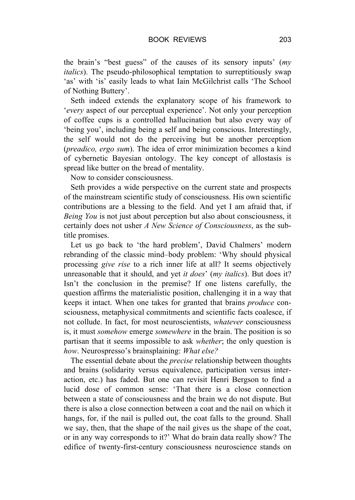the brain's "best guess" of the causes of its sensory inputs' (*my italics*). The pseudo-philosophical temptation to surreptitiously swap 'as' with 'is' easily leads to what Iain McGilchrist calls 'The School of Nothing Buttery'.

Seth indeed extends the explanatory scope of his framework to '*every* aspect of our perceptual experience'. Not only your perception of coffee cups is a controlled hallucination but also every way of 'being you', including being a self and being conscious. Interestingly, the self would not do the perceiving but be another perception (*preadico, ergo sum*). The idea of error minimization becomes a kind of cybernetic Bayesian ontology. The key concept of allostasis is spread like butter on the bread of mentality.

Now to consider consciousness.

Seth provides a wide perspective on the current state and prospects of the mainstream scientific study of consciousness. His own scientific contributions are a blessing to the field. And yet I am afraid that, if *Being You* is not just about perception but also about consciousness, it certainly does not usher *A New Science of Consciousness*, as the subtitle promises.

Let us go back to 'the hard problem', David Chalmers' modern rebranding of the classic mind–body problem: 'Why should physical processing *give rise* to a rich inner life at all? It seems objectively unreasonable that it should, and yet *it does*' (*my italics*). But does it? Isn't the conclusion in the premise? If one listens carefully, the question affirms the materialistic position, challenging it in a way that keeps it intact. When one takes for granted that brains *produce* consciousness, metaphysical commitments and scientific facts coalesce, if not collude. In fact, for most neuroscientists, *whatever* consciousness is, it must *somehow* emerge *somewhere* in the brain. The position is so partisan that it seems impossible to ask *whether*; the only question is *how*. Neurospresso's brainsplaining: *What else?*

The essential debate about the *precise* relationship between thoughts and brains (solidarity versus equivalence, participation versus interaction, etc.) has faded. But one can revisit Henri Bergson to find a lucid dose of common sense: 'That there is a close connection between a state of consciousness and the brain we do not dispute. But there is also a close connection between a coat and the nail on which it hangs, for, if the nail is pulled out, the coat falls to the ground. Shall we say, then, that the shape of the nail gives us the shape of the coat, or in any way corresponds to it?' What do brain data really show? The edifice of twenty-first-century consciousness neuroscience stands on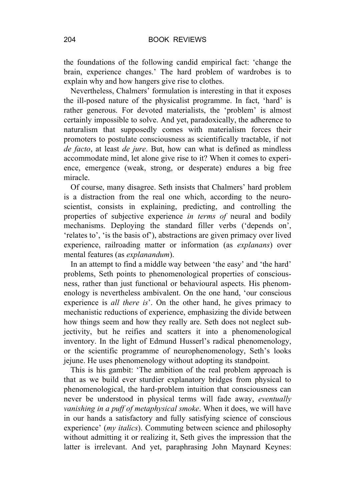the foundations of the following candid empirical fact: 'change the brain, experience changes.' The hard problem of wardrobes is to explain why and how hangers give rise to clothes.

Nevertheless, Chalmers' formulation is interesting in that it exposes the ill-posed nature of the physicalist programme. In fact, 'hard' is rather generous. For devoted materialists, the 'problem' is almost certainly impossible to solve. And yet, paradoxically, the adherence to naturalism that supposedly comes with materialism forces their promoters to postulate consciousness as scientifically tractable, if not *de facto*, at least *de jure*. But, how can what is defined as mindless accommodate mind, let alone give rise to it? When it comes to experience, emergence (weak, strong, or desperate) endures a big free miracle.

Of course, many disagree. Seth insists that Chalmers' hard problem is a distraction from the real one which, according to the neuroscientist, consists in explaining, predicting, and controlling the properties of subjective experience *in terms of* neural and bodily mechanisms. Deploying the standard filler verbs ('depends on', 'relates to', 'is the basis of'), abstractions are given primacy over lived experience, railroading matter or information (as *explanans*) over mental features (as *explanandum*).

In an attempt to find a middle way between 'the easy' and 'the hard' problems, Seth points to phenomenological properties of consciousness, rather than just functional or behavioural aspects. His phenomenology is nevertheless ambivalent. On the one hand, 'our conscious experience is *all there is*'. On the other hand, he gives primacy to mechanistic reductions of experience, emphasizing the divide between how things seem and how they really are. Seth does not neglect subjectivity, but he reifies and scatters it into a phenomenological inventory. In the light of Edmund Husserl's radical phenomenology, or the scientific programme of neurophenomenology, Seth's looks jejune. He uses phenomenology without adopting its standpoint.

This is his gambit: 'The ambition of the real problem approach is that as we build ever sturdier explanatory bridges from physical to phenomenological, the hard-problem intuition that consciousness can never be understood in physical terms will fade away, *eventually vanishing in a puff of metaphysical smoke*. When it does, we will have in our hands a satisfactory and fully satisfying science of conscious experience' (*my italics*). Commuting between science and philosophy without admitting it or realizing it, Seth gives the impression that the latter is irrelevant. And yet, paraphrasing John Maynard Keynes: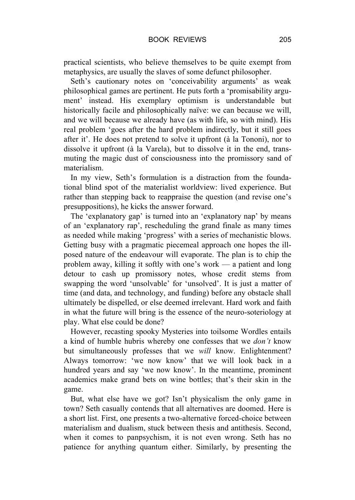practical scientists, who believe themselves to be quite exempt from metaphysics, are usually the slaves of some defunct philosopher.

Seth's cautionary notes on 'conceivability arguments' as weak philosophical games are pertinent. He puts forth a 'promisability argument' instead. His exemplary optimism is understandable but historically facile and philosophically naïve: we can because we will, and we will because we already have (as with life, so with mind). His real problem 'goes after the hard problem indirectly, but it still goes after it'. He does not pretend to solve it upfront (à la Tononi), nor to dissolve it upfront (à la Varela), but to dissolve it in the end, transmuting the magic dust of consciousness into the promissory sand of materialism.

In my view, Seth's formulation is a distraction from the foundational blind spot of the materialist worldview: lived experience. But rather than stepping back to reappraise the question (and revise one's presuppositions), he kicks the answer forward.

The 'explanatory gap' is turned into an 'explanatory nap' by means of an 'explanatory rap', rescheduling the grand finale as many times as needed while making 'progress' with a series of mechanistic blows. Getting busy with a pragmatic piecemeal approach one hopes the illposed nature of the endeavour will evaporate. The plan is to chip the problem away, killing it softly with one's work — a patient and long detour to cash up promissory notes, whose credit stems from swapping the word 'unsolvable' for 'unsolved'. It is just a matter of time (and data, and technology, and funding) before any obstacle shall ultimately be dispelled, or else deemed irrelevant. Hard work and faith in what the future will bring is the essence of the neuro-soteriology at play. What else could be done?

However, recasting spooky Mysteries into toilsome Wordles entails a kind of humble hubris whereby one confesses that we *don't* know but simultaneously professes that we *will* know. Enlightenment? Always tomorrow: 'we now know' that we will look back in a hundred years and say 'we now know'. In the meantime, prominent academics make grand bets on wine bottles; that's their skin in the game.

But, what else have we got? Isn't physicalism the only game in town? Seth casually contends that all alternatives are doomed. Here is a short list. First, one presents a two-alternative forced-choice between materialism and dualism, stuck between thesis and antithesis. Second, when it comes to panpsychism, it is not even wrong. Seth has no patience for anything quantum either. Similarly, by presenting the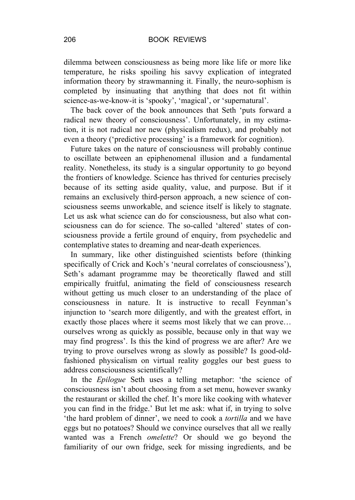dilemma between consciousness as being more like life or more like temperature, he risks spoiling his savvy explication of integrated information theory by strawmanning it. Finally, the neuro-sophism is completed by insinuating that anything that does not fit within science-as-we-know-it is 'spooky', 'magical', or 'supernatural'.

The back cover of the book announces that Seth 'puts forward a radical new theory of consciousness'. Unfortunately, in my estimation, it is not radical nor new (physicalism redux), and probably not even a theory ('predictive processing' is a framework for cognition).

Future takes on the nature of consciousness will probably continue to oscillate between an epiphenomenal illusion and a fundamental reality. Nonetheless, its study is a singular opportunity to go beyond the frontiers of knowledge. Science has thrived for centuries precisely because of its setting aside quality, value, and purpose. But if it remains an exclusively third-person approach, a new science of consciousness seems unworkable, and science itself is likely to stagnate. Let us ask what science can do for consciousness, but also what consciousness can do for science. The so-called 'altered' states of consciousness provide a fertile ground of enquiry, from psychedelic and contemplative states to dreaming and near-death experiences.

In summary, like other distinguished scientists before (thinking specifically of Crick and Koch's 'neural correlates of consciousness'), Seth's adamant programme may be theoretically flawed and still empirically fruitful, animating the field of consciousness research without getting us much closer to an understanding of the place of consciousness in nature. It is instructive to recall Feynman's injunction to 'search more diligently, and with the greatest effort, in exactly those places where it seems most likely that we can prove… ourselves wrong as quickly as possible, because only in that way we may find progress'. Is this the kind of progress we are after? Are we trying to prove ourselves wrong as slowly as possible? Is good-oldfashioned physicalism on virtual reality goggles our best guess to address consciousness scientifically?

In the *Epilogue* Seth uses a telling metaphor: 'the science of consciousness isn't about choosing from a set menu, however swanky the restaurant or skilled the chef. It's more like cooking with whatever you can find in the fridge.' But let me ask: what if, in trying to solve 'the hard problem of dinner', we need to cook a *tortilla* and we have eggs but no potatoes? Should we convince ourselves that all we really wanted was a French *omelette*? Or should we go beyond the familiarity of our own fridge, seek for missing ingredients, and be